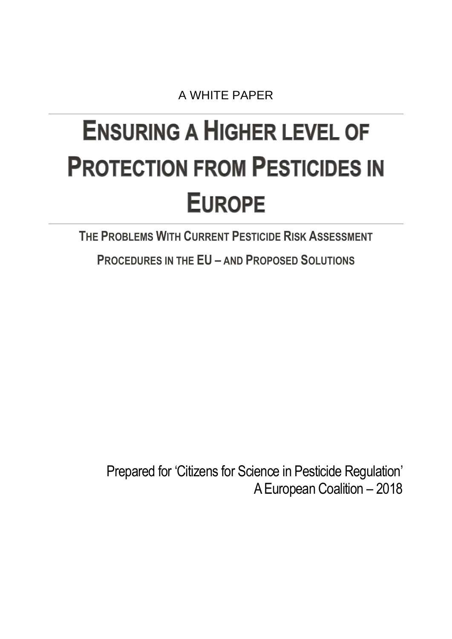A WHITE PAPER

# <span id="page-0-0"></span>**ENSURING A HIGHER LEVEL OF PROTECTION FROM PESTICIDES IN EUROPE**

**THE PROBLEMS WITH CURRENT PESTICIDE RISK ASSESSMENT** 

**PROCEDURES IN THE EU – AND PROPOSED SOLUTIONS**

Prepared for 'Citizens for Science in Pesticide Regulation' A European Coalition – 2018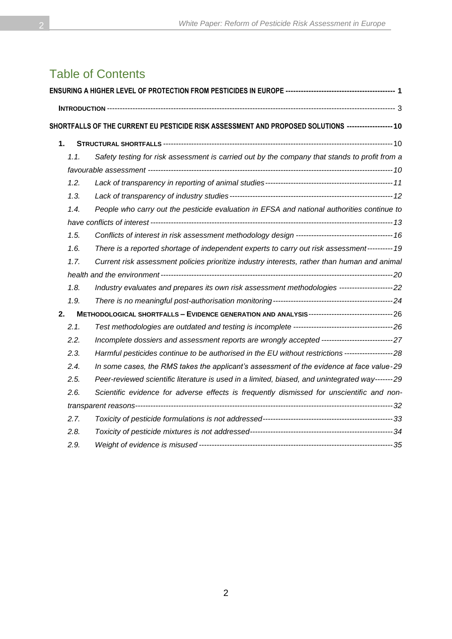## Table of Contents

|    |      | SHORTFALLS OF THE CURRENT EU PESTICIDE RISK ASSESSMENT AND PROPOSED SOLUTIONS ------------------- 10 |  |
|----|------|------------------------------------------------------------------------------------------------------|--|
| 1. |      |                                                                                                      |  |
|    | 1.1. | Safety testing for risk assessment is carried out by the company that stands to profit from a        |  |
|    |      |                                                                                                      |  |
|    | 1.2. |                                                                                                      |  |
|    | 1.3. |                                                                                                      |  |
|    | 1.4. | People who carry out the pesticide evaluation in EFSA and national authorities continue to           |  |
|    |      |                                                                                                      |  |
|    | 1.5. |                                                                                                      |  |
|    | 1.6. | There is a reported shortage of independent experts to carry out risk assessment---------- 19        |  |
|    | 1.7. | Current risk assessment policies prioritize industry interests, rather than human and animal         |  |
|    |      |                                                                                                      |  |
|    | 1.8. | Industry evaluates and prepares its own risk assessment methodologies ---------------------22        |  |
|    | 1.9. |                                                                                                      |  |
| 2. |      |                                                                                                      |  |
|    | 2.1. |                                                                                                      |  |
|    | 2.2. | Incomplete dossiers and assessment reports are wrongly accepted --------------------------------27   |  |
|    | 2.3. | Harmful pesticides continue to be authorised in the EU without restrictions --------------------28   |  |
|    | 2.4. | In some cases, the RMS takes the applicant's assessment of the evidence at face value-29             |  |
|    | 2.5. | Peer-reviewed scientific literature is used in a limited, biased, and unintegrated way-------29      |  |
|    | 2.6. | Scientific evidence for adverse effects is frequently dismissed for unscientific and non-            |  |
|    |      |                                                                                                      |  |
|    | 2.7. |                                                                                                      |  |
|    | 2.8. |                                                                                                      |  |
|    | 2.9. |                                                                                                      |  |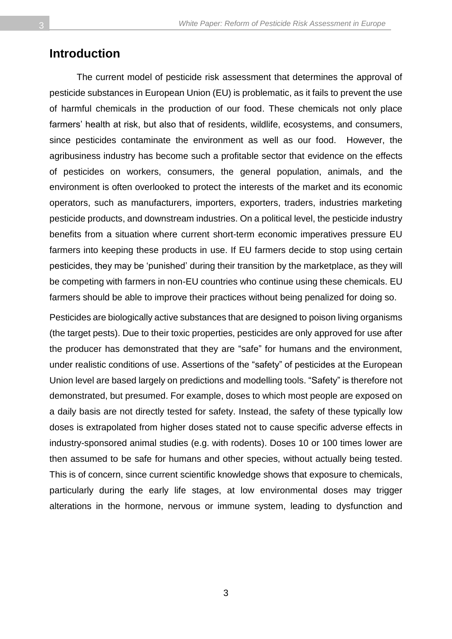#### <span id="page-2-0"></span>**Introduction**

The current model of pesticide risk assessment that determines the approval of pesticide substances in European Union (EU) is problematic, as it fails to prevent the use of harmful chemicals in the production of our food. These chemicals not only place farmers' health at risk, but also that of residents, wildlife, ecosystems, and consumers, since pesticides contaminate the environment as well as our food. However, the agribusiness industry has become such a profitable sector that evidence on the effects of pesticides on workers, consumers, the general population, animals, and the environment is often overlooked to protect the interests of the market and its economic operators, such as manufacturers, importers, exporters, traders, industries marketing pesticide products, and downstream industries. On a political level, the pesticide industry benefits from a situation where current short-term economic imperatives pressure EU farmers into keeping these products in use. If EU farmers decide to stop using certain pesticides, they may be 'punished' during their transition by the marketplace, as they will be competing with farmers in non-EU countries who continue using these chemicals. EU farmers should be able to improve their practices without being penalized for doing so.

Pesticides are biologically active substances that are designed to poison living organisms (the target pests). Due to their toxic properties, pesticides are only approved for use after the producer has demonstrated that they are "safe" for humans and the environment, under realistic conditions of use. Assertions of the "safety" of pesticides at the European Union level are based largely on predictions and modelling tools. "Safety" is therefore not demonstrated, but presumed. For example, doses to which most people are exposed on a daily basis are not directly tested for safety. Instead, the safety of these typically low doses is extrapolated from higher doses stated not to cause specific adverse effects in industry-sponsored animal studies (e.g. with rodents). Doses 10 or 100 times lower are then assumed to be safe for humans and other species, without actually being tested. This is of concern, since current scientific knowledge shows that exposure to chemicals, particularly during the early life stages, at low environmental doses may trigger alterations in the hormone, nervous or immune system, leading to dysfunction and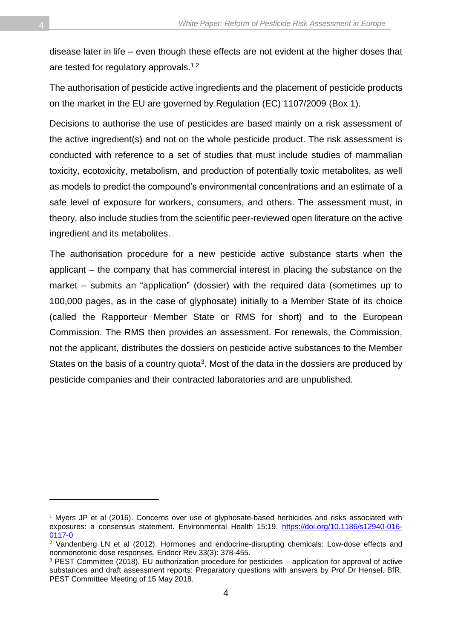disease later in life – even though these effects are not evident at the higher doses that are tested for regulatory approvals.<sup>1,2</sup>

The authorisation of pesticide active ingredients and the placement of pesticide products on the market in the EU are governed by Regulation (EC) 1107/2009 (Box 1).

Decisions to authorise the use of pesticides are based mainly on a risk assessment of the active ingredient(s) and not on the whole pesticide product. The risk assessment is conducted with reference to a set of studies that must include studies of mammalian toxicity, ecotoxicity, metabolism, and production of potentially toxic metabolites, as well as models to predict the compound's environmental concentrations and an estimate of a safe level of exposure for workers, consumers, and others. The assessment must, in theory, also include studies from the scientific peer-reviewed open literature on the active ingredient and its metabolites.

The authorisation procedure for a new pesticide active substance starts when the applicant – the company that has commercial interest in placing the substance on the market – submits an "application" (dossier) with the required data (sometimes up to 100,000 pages, as in the case of glyphosate) initially to a Member State of its choice (called the Rapporteur Member State or RMS for short) and to the European Commission. The RMS then provides an assessment. For renewals, the Commission, not the applicant, distributes the dossiers on pesticide active substances to the Member States on the basis of a country quota<sup>3</sup>. Most of the data in the dossiers are produced by pesticide companies and their contracted laboratories and are unpublished.

<sup>1</sup> Myers JP et al (2016). Concerns over use of glyphosate-based herbicides and risks associated with exposures: a consensus statement. Environmental Health 15:19. [https://doi.org/10.1186/s12940-016-](https://doi.org/10.1186/s12940-016-0117-0) [0117-0](https://doi.org/10.1186/s12940-016-0117-0)

<sup>2</sup> Vandenberg LN et al (2012). Hormones and endocrine-disrupting chemicals: Low-dose effects and nonmonotonic dose responses. Endocr Rev 33(3): 378-455.

<sup>3</sup> PEST Committee (2018). EU authorization procedure for pesticides – application for approval of active substances and draft assessment reports: Preparatory questions with answers by Prof Dr Hensel, BfR. PEST Committee Meeting of 15 May 2018.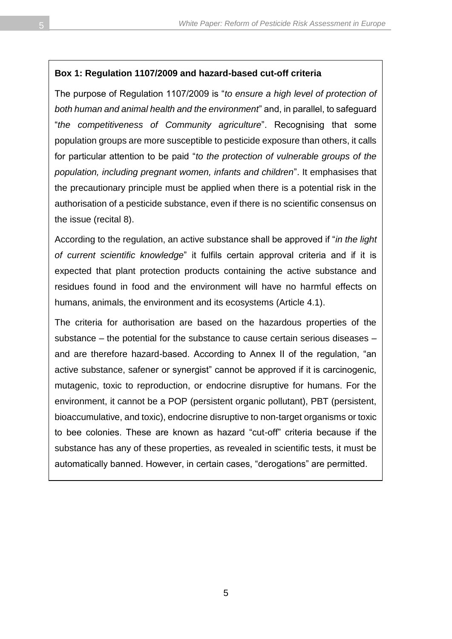#### **Box 1: Regulation 1107/2009 and hazard-based cut-off criteria**

The purpose of Regulation 1107/2009 is "*to ensure a high level of protection of both human and animal health and the environment*" and, in parallel, to safeguard "*the competitiveness of Community agriculture*". Recognising that some population groups are more susceptible to pesticide exposure than others, it calls for particular attention to be paid "*to the protection of vulnerable groups of the population, including pregnant women, infants and children*". It emphasises that the precautionary principle must be applied when there is a potential risk in the authorisation of a pesticide substance, even if there is no scientific consensus on the issue (recital 8).

According to the regulation, an active substance shall be approved if "*in the light of current scientific knowledge*" it fulfils certain approval criteria and if it is expected that plant protection products containing the active substance and residues found in food and the environment will have no harmful effects on humans, animals, the environment and its ecosystems (Article 4.1).

The criteria for authorisation are based on the hazardous properties of the substance – the potential for the substance to cause certain serious diseases – and are therefore hazard-based. According to Annex II of the regulation, "an active substance, safener or synergist" cannot be approved if it is carcinogenic, mutagenic, toxic to reproduction, or endocrine disruptive for humans. For the environment, it cannot be a POP (persistent organic pollutant), PBT (persistent, bioaccumulative, and toxic), endocrine disruptive to non-target organisms or toxic to bee colonies. These are known as hazard "cut-off" criteria because if the substance has any of these properties, as revealed in scientific tests, it must be automatically banned. However, in certain cases, "derogations" are permitted.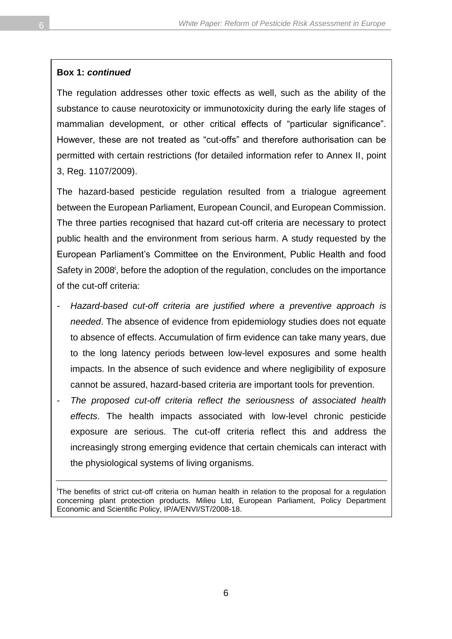#### **Box 1:** *continued*

The regulation addresses other toxic effects as well, such as the ability of the substance to cause neurotoxicity or immunotoxicity during the early life stages of mammalian development, or other critical effects of "particular significance". However, these are not treated as "cut-offs" and therefore authorisation can be permitted with certain restrictions (for detailed information refer to Annex II, point 3, Reg. 1107/2009).

The hazard-based pesticide regulation resulted from a trialogue agreement between the European Parliament, European Council, and European Commission. The three parties recognised that hazard cut-off criteria are necessary to protect public health and the environment from serious harm. A study requested by the European Parliament's Committee on the Environment, Public Health and food Safety in 2008<sup>i</sup>, before the adoption of the regulation, concludes on the importance of the cut-off criteria:

- *Hazard-based cut-off criteria are justified where a preventive approach is needed*. The absence of evidence from epidemiology studies does not equate to absence of effects. Accumulation of firm evidence can take many years, due to the long latency periods between low-level exposures and some health impacts. In the absence of such evidence and where negligibility of exposure cannot be assured, hazard-based criteria are important tools for prevention.
- *The proposed cut-off criteria reflect the seriousness of associated health effects*. The health impacts associated with low-level chronic pesticide exposure are serious. The cut-off criteria reflect this and address the increasingly strong emerging evidence that certain chemicals can interact with the physiological systems of living organisms.

<sup>i</sup>The benefits of strict cut-off criteria on human health in relation to the proposal for a regulation concerning plant protection products. Milieu Ltd, European Parliament, Policy Department Economic and Scientific Policy, IP/A/ENVI/ST/2008-18.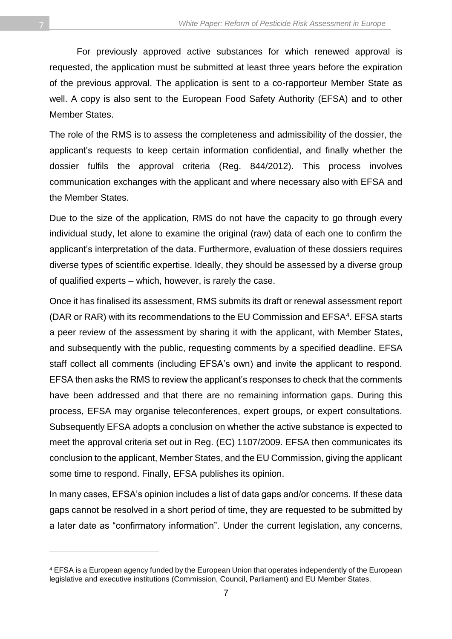For previously approved active substances for which renewed approval is requested, the application must be submitted at least three years before the expiration of the previous approval. The application is sent to a co-rapporteur Member State as well. A copy is also sent to the European Food Safety Authority (EFSA) and to other Member States.

The role of the RMS is to assess the completeness and admissibility of the dossier, the applicant's requests to keep certain information confidential, and finally whether the dossier fulfils the approval criteria (Reg. 844/2012). This process involves communication exchanges with the applicant and where necessary also with EFSA and the Member States.

Due to the size of the application, RMS do not have the capacity to go through every individual study, let alone to examine the original (raw) data of each one to confirm the applicant's interpretation of the data. Furthermore, evaluation of these dossiers requires diverse types of scientific expertise. Ideally, they should be assessed by a diverse group of qualified experts – which, however, is rarely the case.

Once it has finalised its assessment, RMS submits its draft or renewal assessment report (DAR or RAR) with its recommendations to the EU Commission and EFSA<sup>4</sup>. EFSA starts a peer review of the assessment by sharing it with the applicant, with Member States, and subsequently with the public, requesting comments by a specified deadline. EFSA staff collect all comments (including EFSA's own) and invite the applicant to respond. EFSA then asks the RMS to review the applicant's responses to check that the comments have been addressed and that there are no remaining information gaps. During this process, EFSA may organise teleconferences, expert groups, or expert consultations. Subsequently EFSA adopts a conclusion on whether the active substance is expected to meet the approval criteria set out in Reg. (EC) 1107/2009. EFSA then communicates its conclusion to the applicant, Member States, and the EU Commission, giving the applicant some time to respond. Finally, EFSA publishes its opinion.

In many cases, EFSA's opinion includes a list of data gaps and/or concerns. If these data gaps cannot be resolved in a short period of time, they are requested to be submitted by a later date as "confirmatory information". Under the current legislation, any concerns,

<sup>4</sup> EFSA is a European agency funded by the European Union that operates independently of the European legislative and executive institutions (Commission, Council, Parliament) and EU Member States.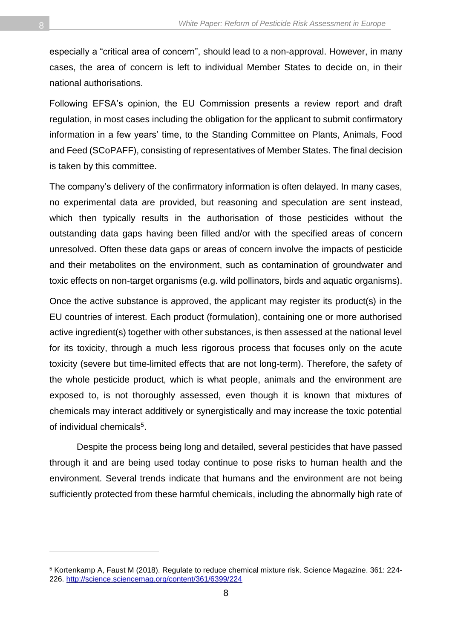especially a "critical area of concern", should lead to a non-approval. However, in many cases, the area of concern is left to individual Member States to decide on, in their national authorisations.

Following EFSA's opinion, the EU Commission presents a review report and draft regulation, in most cases including the obligation for the applicant to submit confirmatory information in a few years' time, to the Standing Committee on Plants, Animals, Food and Feed (SCoPAFF), consisting of representatives of Member States. The final decision is taken by this committee.

The company's delivery of the confirmatory information is often delayed. In many cases, no experimental data are provided, but reasoning and speculation are sent instead, which then typically results in the authorisation of those pesticides without the outstanding data gaps having been filled and/or with the specified areas of concern unresolved. Often these data gaps or areas of concern involve the impacts of pesticide and their metabolites on the environment, such as contamination of groundwater and toxic effects on non-target organisms (e.g. wild pollinators, birds and aquatic organisms).

Once the active substance is approved, the applicant may register its product(s) in the EU countries of interest. Each product (formulation), containing one or more authorised active ingredient(s) together with other substances, is then assessed at the national level for its toxicity, through a much less rigorous process that focuses only on the acute toxicity (severe but time-limited effects that are not long-term). Therefore, the safety of the whole pesticide product, which is what people, animals and the environment are exposed to, is not thoroughly assessed, even though it is known that mixtures of chemicals may interact additively or synergistically and may increase the toxic potential of individual chemicals<sup>5</sup>.

Despite the process being long and detailed, several pesticides that have passed through it and are being used today continue to pose risks to human health and the environment. Several trends indicate that humans and the environment are not being sufficiently protected from these harmful chemicals, including the abnormally high rate of

<sup>5</sup> Kortenkamp A, Faust M (2018). Regulate to reduce chemical mixture risk. Science Magazine. 361: 224- 226.<http://science.sciencemag.org/content/361/6399/224>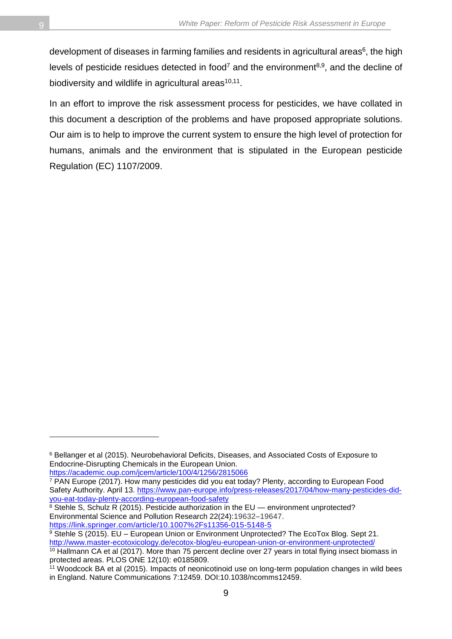development of diseases in farming families and residents in agricultural areas $^6$ , the high levels of pesticide residues detected in food<sup>7</sup> and the environment<sup>8,9</sup>, and the decline of biodiversity and wildlife in agricultural areas<sup>10,11</sup>.

In an effort to improve the risk assessment process for pesticides, we have collated in this document a description of the problems and have proposed appropriate solutions. Our aim is to help to improve the current system to ensure the high level of protection for humans, animals and the environment that is stipulated in the European pesticide Regulation (EC) 1107/2009.

<https://academic.oup.com/jcem/article/100/4/1256/2815066>

<sup>8</sup> Stehle S, Schulz R (2015). Pesticide authorization in the EU — environment unprotected? Environmental Science and Pollution Research 22(24):19632–19647. <https://link.springer.com/article/10.1007%2Fs11356-015-5148-5>

 $\overline{a}$ 

<sup>6</sup> Bellanger et al (2015). Neurobehavioral Deficits, Diseases, and Associated Costs of Exposure to Endocrine-Disrupting Chemicals in the European Union.

<sup>7</sup> PAN Europe (2017). How many pesticides did you eat today? Plenty, according to European Food Safety Authority. April 13. [https://www.pan-europe.info/press-releases/2017/04/how-many-pesticides-did](https://www.pan-europe.info/press-releases/2017/04/how-many-pesticides-did-you-eat-today-plenty-according-european-food-safety)[you-eat-today-plenty-according-european-food-safety](https://www.pan-europe.info/press-releases/2017/04/how-many-pesticides-did-you-eat-today-plenty-according-european-food-safety)

<sup>9</sup> Stehle S (2015). EU - European Union or Environment Unprotected? The EcoTox Blog. Sept 21. <http://www.master-ecotoxicology.de/ecotox-blog/eu-european-union-or-environment-unprotected/>

<sup>&</sup>lt;sup>10</sup> Hallmann CA et al (2017). More than 75 percent decline over 27 years in total flying insect biomass in protected areas. PLOS ONE 12(10): e0185809.

<sup>&</sup>lt;sup>11</sup> Woodcock BA et al (2015). Impacts of neonicotinoid use on long-term population changes in wild bees in England. Nature Communications 7:12459. DOI:10.1038/ncomms12459.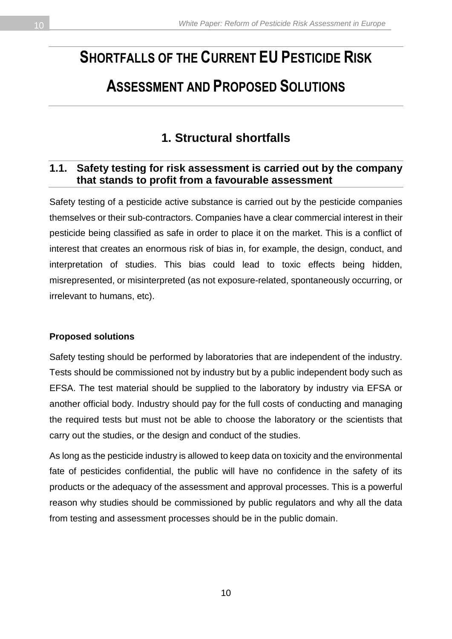# <span id="page-9-0"></span>**SHORTFALLS OF THE CURRENT EU PESTICIDE RISK**

## **ASSESSMENT AND PROPOSED SOLUTIONS**

### **1. Structural shortfalls**

#### <span id="page-9-2"></span><span id="page-9-1"></span>**1.1. Safety testing for risk assessment is carried out by the company that stands to profit from a favourable assessment**

Safety testing of a pesticide active substance is carried out by the pesticide companies themselves or their sub-contractors. Companies have a clear commercial interest in their pesticide being classified as safe in order to place it on the market. This is a conflict of interest that creates an enormous risk of bias in, for example, the design, conduct, and interpretation of studies. This bias could lead to toxic effects being hidden, misrepresented, or misinterpreted (as not exposure-related, spontaneously occurring, or irrelevant to humans, etc).

#### **Proposed solutions**

Safety testing should be performed by laboratories that are independent of the industry. Tests should be commissioned not by industry but by a public independent body such as EFSA. The test material should be supplied to the laboratory by industry via EFSA or another official body. Industry should pay for the full costs of conducting and managing the required tests but must not be able to choose the laboratory or the scientists that carry out the studies, or the design and conduct of the studies.

As long as the pesticide industry is allowed to keep data on toxicity and the environmental fate of pesticides confidential, the public will have no confidence in the safety of its products or the adequacy of the assessment and approval processes. This is a powerful reason why studies should be commissioned by public regulators and why all the data from testing and assessment processes should be in the public domain.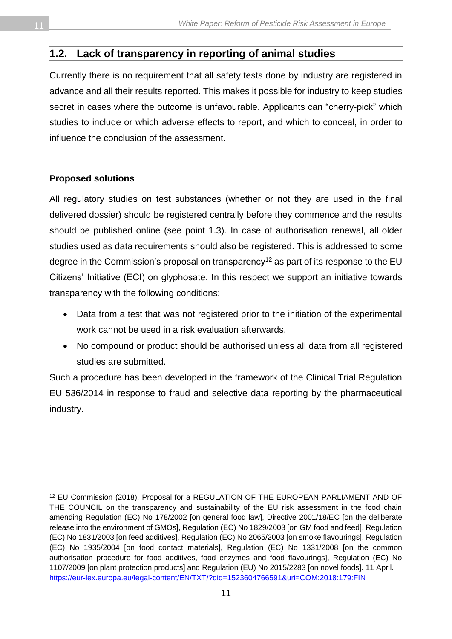#### <span id="page-10-0"></span>**1.2. Lack of transparency in reporting of animal studies**

Currently there is no requirement that all safety tests done by industry are registered in advance and all their results reported. This makes it possible for industry to keep studies secret in cases where the outcome is unfavourable. Applicants can "cherry-pick" which studies to include or which adverse effects to report, and which to conceal, in order to influence the conclusion of the assessment.

#### **Proposed solutions**

l

All regulatory studies on test substances (whether or not they are used in the final delivered dossier) should be registered centrally before they commence and the results should be published online (see point 1.3). In case of authorisation renewal, all older studies used as data requirements should also be registered. This is addressed to some degree in the Commission's proposal on transparency<sup>12</sup> as part of its response to the EU Citizens' Initiative (ECI) on glyphosate. In this respect we support an initiative towards transparency with the following conditions:

- Data from a test that was not registered prior to the initiation of the experimental work cannot be used in a risk evaluation afterwards.
- No compound or product should be authorised unless all data from all registered studies are submitted.

Such a procedure has been developed in the framework of the Clinical Trial Regulation EU 536/2014 in response to fraud and selective data reporting by the pharmaceutical industry.

<sup>12</sup> EU Commission (2018). Proposal for a REGULATION OF THE EUROPEAN PARLIAMENT AND OF THE COUNCIL on the transparency and sustainability of the EU risk assessment in the food chain amending Regulation (EC) No 178/2002 [on general food law], Directive 2001/18/EC [on the deliberate release into the environment of GMOs], Regulation (EC) No 1829/2003 [on GM food and feed], Regulation (EC) No 1831/2003 [on feed additives], Regulation (EC) No 2065/2003 [on smoke flavourings], Regulation (EC) No 1935/2004 [on food contact materials], Regulation (EC) No 1331/2008 [on the common authorisation procedure for food additives, food enzymes and food flavourings], Regulation (EC) No 1107/2009 [on plant protection products] and Regulation (EU) No 2015/2283 [on novel foods]. 11 April. <https://eur-lex.europa.eu/legal-content/EN/TXT/?qid=1523604766591&uri=COM:2018:179:FIN>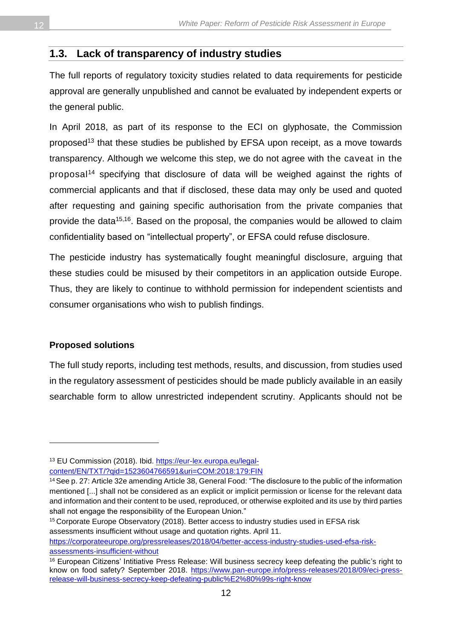#### <span id="page-11-0"></span>**1.3. Lack of transparency of industry studies**

The full reports of regulatory toxicity studies related to data requirements for pesticide approval are generally unpublished and cannot be evaluated by independent experts or the general public.

In April 2018, as part of its response to the ECI on glyphosate, the Commission proposed<sup>13</sup> that these studies be published by EFSA upon receipt, as a move towards transparency. Although we welcome this step, we do not agree with the caveat in the proposal<sup>14</sup> specifying that disclosure of data will be weighed against the rights of commercial applicants and that if disclosed, these data may only be used and quoted after requesting and gaining specific authorisation from the private companies that provide the data<sup>15,16</sup>. Based on the proposal, the companies would be allowed to claim confidentiality based on "intellectual property", or EFSA could refuse disclosure.

The pesticide industry has systematically fought meaningful disclosure, arguing that these studies could be misused by their competitors in an application outside Europe. Thus, they are likely to continue to withhold permission for independent scientists and consumer organisations who wish to publish findings.

#### **Proposed solutions**

 $\overline{a}$ 

The full study reports, including test methods, results, and discussion, from studies used in the regulatory assessment of pesticides should be made publicly available in an easily searchable form to allow unrestricted independent scrutiny. Applicants should not be

<sup>15</sup> Corporate Europe Observatory (2018). Better access to industry studies used in EFSA risk assessments insufficient without usage and quotation rights. April 11.

[https://corporateeurope.org/pressreleases/2018/04/better-access-industry-studies-used-efsa-risk](https://corporateeurope.org/pressreleases/2018/04/better-access-industry-studies-used-efsa-risk-assessments-insufficient-without)[assessments-insufficient-without](https://corporateeurope.org/pressreleases/2018/04/better-access-industry-studies-used-efsa-risk-assessments-insufficient-without)

<sup>13</sup> EU Commission (2018). Ibid. [https://eur-lex.europa.eu/legal](https://eur-lex.europa.eu/legal-content/EN/TXT/?qid=1523604766591&uri=COM:2018:179:FIN)[content/EN/TXT/?qid=1523604766591&uri=COM:2018:179:FIN](https://eur-lex.europa.eu/legal-content/EN/TXT/?qid=1523604766591&uri=COM:2018:179:FIN)

<sup>14</sup>See p. 27: Article 32e amending Article 38, General Food: "The disclosure to the public of the information mentioned [...] shall not be considered as an explicit or implicit permission or license for the relevant data and information and their content to be used, reproduced, or otherwise exploited and its use by third parties shall not engage the responsibility of the European Union."

<sup>&</sup>lt;sup>16</sup> European Citizens' Intitiative Press Release: Will business secrecy keep defeating the public's right to know on food safety? September 2018. [https://www.pan-europe.info/press-releases/2018/09/eci-press](https://www.pan-europe.info/press-releases/2018/09/eci-press-release-will-business-secrecy-keep-defeating-public%E2%80%99s-right-know)[release-will-business-secrecy-keep-defeating-public%E2%80%99s-right-know](https://www.pan-europe.info/press-releases/2018/09/eci-press-release-will-business-secrecy-keep-defeating-public%E2%80%99s-right-know)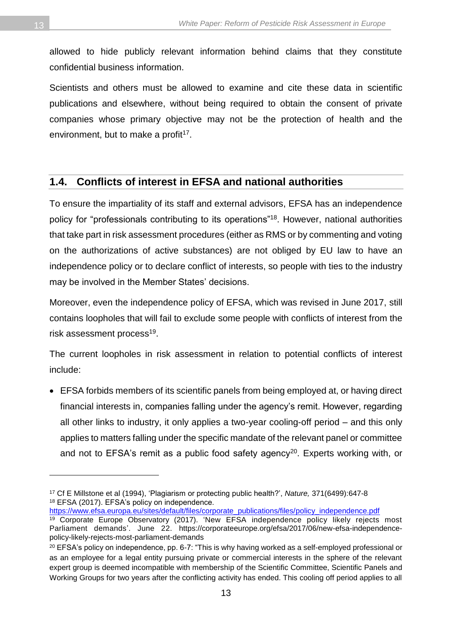allowed to hide publicly relevant information behind claims that they constitute confidential business information.

Scientists and others must be allowed to examine and cite these data in scientific publications and elsewhere, without being required to obtain the consent of private companies whose primary objective may not be the protection of health and the environment, but to make a profit<sup>17</sup>.

#### <span id="page-12-0"></span>**1.4. Conflicts of interest in EFSA and national authorities**

To ensure the impartiality of its staff and external advisors, EFSA has an independence policy for "professionals contributing to its operations"<sup>18</sup> . However, national authorities that take part in risk assessment procedures (either as RMS or by commenting and voting on the authorizations of active substances) are not obliged by EU law to have an independence policy or to declare conflict of interests, so people with ties to the industry may be involved in the Member States' decisions.

Moreover, even the independence policy of EFSA, which was revised in June 2017, still contains loopholes that will fail to exclude some people with conflicts of interest from the risk assessment process<sup>19</sup>.

The current loopholes in risk assessment in relation to potential conflicts of interest include:

• EFSA forbids members of its scientific panels from being employed at, or having direct financial interests in, companies falling under the agency's remit. However, regarding all other links to industry, it only applies a two-year cooling-off period – and this only applies to matters falling under the specific mandate of the relevant panel or committee and not to EFSA's remit as a public food safety agency<sup>20</sup>. Experts working with, or

[https://www.efsa.europa.eu/sites/default/files/corporate\\_publications/files/policy\\_independence.pdf](https://www.efsa.europa.eu/sites/default/files/corporate_publications/files/policy_independence.pdf)

<sup>17</sup> Cf E Millstone et al (1994), 'Plagiarism or protecting public health?', *Nature,* 371(6499):647-8 <sup>18</sup> EFSA (2017). EFSA's policy on independence.

<sup>19</sup> Corporate Europe Observatory (2017). 'New EFSA independence policy likely rejects most Parliament demands'. June 22. https://corporateeurope.org/efsa/2017/06/new-efsa-independencepolicy-likely-rejects-most-parliament-demands

 $20$  EFSA's policy on independence, pp. 6-7: "This is why having worked as a self-employed professional or as an employee for a legal entity pursuing private or commercial interests in the sphere of the relevant expert group is deemed incompatible with membership of the Scientific Committee, Scientific Panels and Working Groups for two years after the conflicting activity has ended. This cooling off period applies to all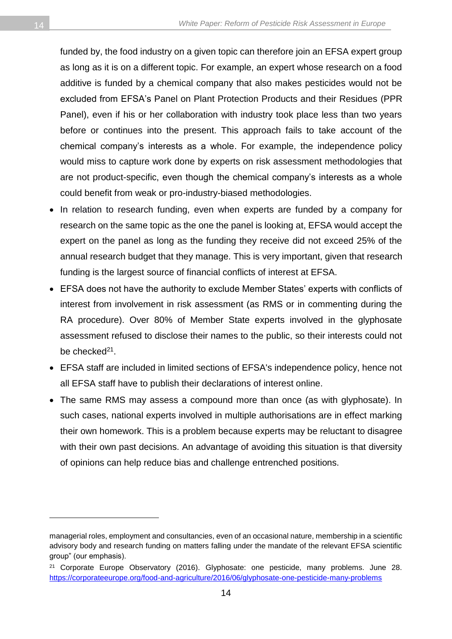funded by, the food industry on a given topic can therefore join an EFSA expert group as long as it is on a different topic. For example, an expert whose research on a food additive is funded by a chemical company that also makes pesticides would not be excluded from EFSA's Panel on Plant Protection Products and their Residues (PPR Panel), even if his or her collaboration with industry took place less than two years before or continues into the present. This approach fails to take account of the chemical company's interests as a whole. For example, the independence policy would miss to capture work done by experts on risk assessment methodologies that are not product-specific, even though the chemical company's interests as a whole could benefit from weak or pro-industry-biased methodologies.

- In relation to research funding, even when experts are funded by a company for research on the same topic as the one the panel is looking at, EFSA would accept the expert on the panel as long as the funding they receive did not exceed 25% of the annual research budget that they manage. This is very important, given that research funding is the largest source of financial conflicts of interest at EFSA.
- EFSA does not have the authority to exclude Member States' experts with conflicts of interest from involvement in risk assessment (as RMS or in commenting during the RA procedure). Over 80% of Member State experts involved in the glyphosate assessment refused to disclose their names to the public, so their interests could not be checked<sup>21</sup>.
- EFSA staff are included in limited sections of EFSA's independence policy, hence not all EFSA staff have to publish their declarations of interest online.
- The same RMS may assess a compound more than once (as with glyphosate). In such cases, national experts involved in multiple authorisations are in effect marking their own homework. This is a problem because experts may be reluctant to disagree with their own past decisions. An advantage of avoiding this situation is that diversity of opinions can help reduce bias and challenge entrenched positions.

 $\overline{a}$ 

managerial roles, employment and consultancies, even of an occasional nature, membership in a scientific advisory body and research funding on matters falling under the mandate of the relevant EFSA scientific group" (our emphasis).

<sup>&</sup>lt;sup>21</sup> Corporate Europe Observatory (2016). Glyphosate: one pesticide, many problems. June 28. <https://corporateeurope.org/food-and-agriculture/2016/06/glyphosate-one-pesticide-many-problems>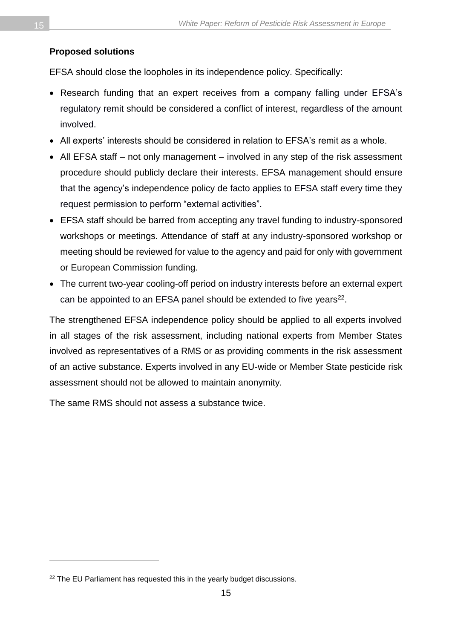#### **Proposed solutions**

EFSA should close the loopholes in its independence policy. Specifically:

- Research funding that an expert receives from a company falling under EFSA's regulatory remit should be considered a conflict of interest, regardless of the amount involved.
- All experts' interests should be considered in relation to EFSA's remit as a whole.
- All EFSA staff not only management involved in any step of the risk assessment procedure should publicly declare their interests. EFSA management should ensure that the agency's independence policy de facto applies to EFSA staff every time they request permission to perform "external activities".
- EFSA staff should be barred from accepting any travel funding to industry-sponsored workshops or meetings. Attendance of staff at any industry-sponsored workshop or meeting should be reviewed for value to the agency and paid for only with government or European Commission funding.
- The current two-year cooling-off period on industry interests before an external expert can be appointed to an EFSA panel should be extended to five years $^{22}$ .

The strengthened EFSA independence policy should be applied to all experts involved in all stages of the risk assessment, including national experts from Member States involved as representatives of a RMS or as providing comments in the risk assessment of an active substance. Experts involved in any EU-wide or Member State pesticide risk assessment should not be allowed to maintain anonymity.

The same RMS should not assess a substance twice.

<sup>&</sup>lt;sup>22</sup> The EU Parliament has requested this in the yearly budget discussions.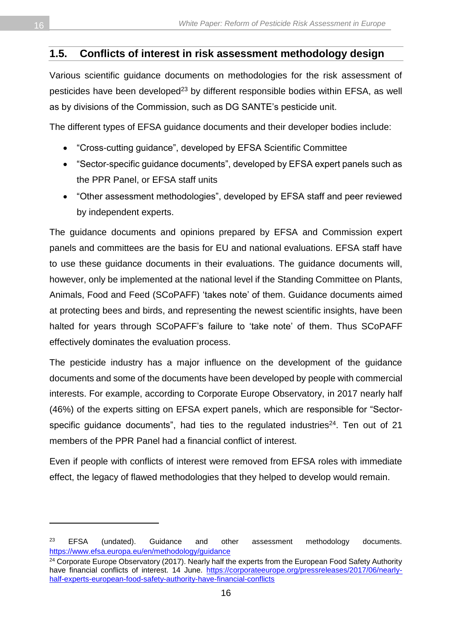#### <span id="page-15-0"></span>**1.5. Conflicts of interest in risk assessment methodology design**

Various scientific guidance documents on methodologies for the risk assessment of pesticides have been developed<sup>23</sup> by different responsible bodies within EFSA, as well as by divisions of the Commission, such as DG SANTE's pesticide unit.

The different types of EFSA guidance documents and their developer bodies include:

- "Cross-cutting guidance", developed by EFSA Scientific Committee
- "Sector-specific guidance documents", developed by EFSA expert panels such as the PPR Panel, or EFSA staff units
- "Other assessment methodologies", developed by EFSA staff and peer reviewed by independent experts.

The guidance documents and opinions prepared by EFSA and Commission expert panels and committees are the basis for EU and national evaluations. EFSA staff have to use these guidance documents in their evaluations. The guidance documents will, however, only be implemented at the national level if the Standing Committee on Plants, Animals, Food and Feed (SCoPAFF) 'takes note' of them. Guidance documents aimed at protecting bees and birds, and representing the newest scientific insights, have been halted for years through SCoPAFF's failure to 'take note' of them. Thus SCoPAFF effectively dominates the evaluation process.

The pesticide industry has a major influence on the development of the guidance documents and some of the documents have been developed by people with commercial interests. For example, according to Corporate Europe Observatory, in 2017 nearly half (46%) of the experts sitting on EFSA expert panels, which are responsible for "Sectorspecific guidance documents", had ties to the regulated industries $24$ . Ten out of 21 members of the PPR Panel had a financial conflict of interest.

Even if people with conflicts of interest were removed from EFSA roles with immediate effect, the legacy of flawed methodologies that they helped to develop would remain.

<sup>&</sup>lt;sup>23</sup> EFSA (undated). Guidance and other assessment methodology documents. <https://www.efsa.europa.eu/en/methodology/guidance>

<sup>&</sup>lt;sup>24</sup> Corporate Europe Observatory (2017). Nearly half the experts from the European Food Safety Authority have financial conflicts of interest. 14 June. [https://corporateeurope.org/pressreleases/2017/06/nearly](https://corporateeurope.org/pressreleases/2017/06/nearly-half-experts-european-food-safety-authority-have-financial-conflicts)[half-experts-european-food-safety-authority-have-financial-conflicts](https://corporateeurope.org/pressreleases/2017/06/nearly-half-experts-european-food-safety-authority-have-financial-conflicts)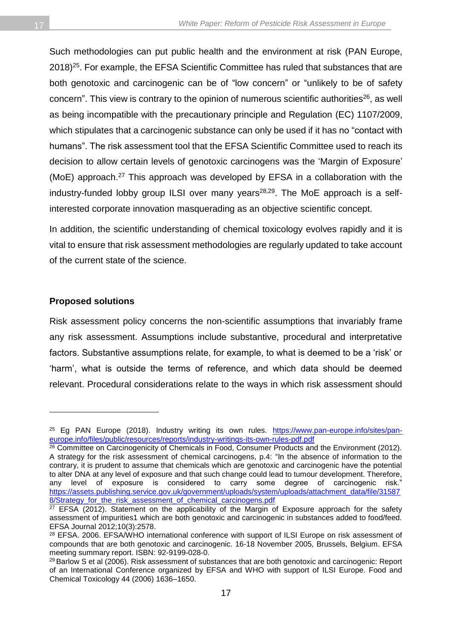Such methodologies can put public health and the environment at risk (PAN Europe, 2018)<sup>25</sup>. For example, the EFSA Scientific Committee has ruled that substances that are both genotoxic and carcinogenic can be of "low concern" or "unlikely to be of safety concern". This view is contrary to the opinion of numerous scientific authorities $^{26}$ , as well as being incompatible with the precautionary principle and Regulation (EC) 1107/2009, which stipulates that a carcinogenic substance can only be used if it has no "contact with humans". The risk assessment tool that the EFSA Scientific Committee used to reach its decision to allow certain levels of genotoxic carcinogens was the 'Margin of Exposure' (MoE) approach.<sup>27</sup> This approach was developed by EFSA in a collaboration with the industry-funded lobby group ILSI over many years<sup>28,29</sup>. The MoE approach is a selfinterested corporate innovation masquerading as an objective scientific concept.

In addition, the scientific understanding of chemical toxicology evolves rapidly and it is vital to ensure that risk assessment methodologies are regularly updated to take account of the current state of the science.

#### **Proposed solutions**

 $\overline{a}$ 

Risk assessment policy concerns the non-scientific assumptions that invariably frame any risk assessment. Assumptions include substantive, procedural and interpretative factors. Substantive assumptions relate, for example, to what is deemed to be a 'risk' or 'harm', what is outside the terms of reference, and which data should be deemed relevant. Procedural considerations relate to the ways in which risk assessment should

<sup>&</sup>lt;sup>25</sup> Eg PAN Europe (2018). Industry writing its own rules. [https://www.pan-europe.info/sites/pan](https://www.pan-europe.info/sites/pan-europe.info/files/public/resources/reports/industry-writings-its-own-rules-pdf.pdf)[europe.info/files/public/resources/reports/industry-writings-its-own-rules-pdf.pdf](https://www.pan-europe.info/sites/pan-europe.info/files/public/resources/reports/industry-writings-its-own-rules-pdf.pdf)

<sup>&</sup>lt;sup>26</sup> Committee on Carcinogenicity of Chemicals in Food, Consumer Products and the Environment (2012). A strategy for the risk assessment of chemical carcinogens, p.4: "In the absence of information to the contrary, it is prudent to assume that chemicals which are genotoxic and carcinogenic have the potential to alter DNA at any level of exposure and that such change could lead to tumour development. Therefore, any level of exposure is considered to carry some degree of carcinogenic risk." [https://assets.publishing.service.gov.uk/government/uploads/system/uploads/attachment\\_data/file/31587](https://assets.publishing.service.gov.uk/government/uploads/system/uploads/attachment_data/file/315878/Strategy_for_the_risk_assessment_of_chemical_carcinogens.pdf) 8/Strategy for the risk assessment of chemical carcinogens.pdf

<sup>&</sup>lt;sup>27</sup> EFSA (2012). Statement on the applicability of the Margin of Exposure approach for the safety assessment of impurities1 which are both genotoxic and carcinogenic in substances added to food/feed. EFSA Journal 2012;10(3):2578.

<sup>&</sup>lt;sup>28</sup> EFSA. 2006. EFSA/WHO international conference with support of ILSI Europe on risk assessment of compounds that are both genotoxic and carcinogenic. 16-18 November 2005, Brussels, Belgium. EFSA meeting summary report. ISBN: 92-9199-028-0.

<sup>&</sup>lt;sup>29</sup> Barlow S et al (2006). Risk assessment of substances that are both genotoxic and carcinogenic: Report of an International Conference organized by EFSA and WHO with support of ILSI Europe. Food and Chemical Toxicology 44 (2006) 1636–1650.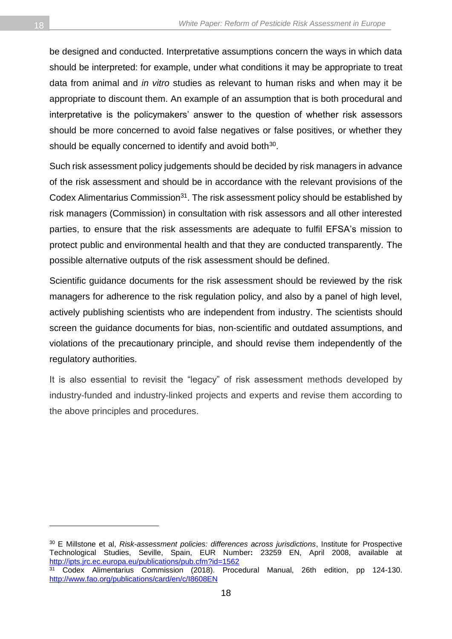be designed and conducted. Interpretative assumptions concern the ways in which data should be interpreted: for example, under what conditions it may be appropriate to treat data from animal and *in vitro* studies as relevant to human risks and when may it be appropriate to discount them. An example of an assumption that is both procedural and interpretative is the policymakers' answer to the question of whether risk assessors should be more concerned to avoid false negatives or false positives, or whether they should be equally concerned to identify and avoid both<sup>30</sup>.

Such risk assessment policy judgements should be decided by risk managers in advance of the risk assessment and should be in accordance with the relevant provisions of the Codex Alimentarius Commission<sup>31</sup>. The risk assessment policy should be established by risk managers (Commission) in consultation with risk assessors and all other interested parties, to ensure that the risk assessments are adequate to fulfil EFSA's mission to protect public and environmental health and that they are conducted transparently. The possible alternative outputs of the risk assessment should be defined.

Scientific guidance documents for the risk assessment should be reviewed by the risk managers for adherence to the risk regulation policy, and also by a panel of high level, actively publishing scientists who are independent from industry. The scientists should screen the guidance documents for bias, non-scientific and outdated assumptions, and violations of the precautionary principle, and should revise them independently of the regulatory authorities.

It is also essential to revisit the "legacy" of risk assessment methods developed by industry-funded and industry-linked projects and experts and revise them according to the above principles and procedures.

<sup>30</sup> E Millstone et al, *Risk-assessment policies: differences across jurisdictions*, Institute for Prospective Technological Studies, Seville, Spain, EUR Number**:** 23259 EN, April 2008, available at <http://ipts.jrc.ec.europa.eu/publications/pub.cfm?id=1562>

<sup>31</sup> Codex Alimentarius Commission (2018). Procedural Manual, 26th edition, pp 124-130. <http://www.fao.org/publications/card/en/c/I8608EN>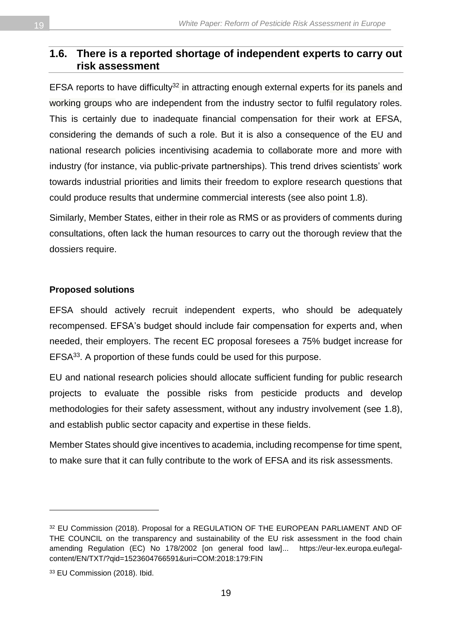#### <span id="page-18-0"></span>**1.6. There is a reported shortage of independent experts to carry out risk assessment**

EFSA reports to have difficulty<sup>32</sup> in attracting enough external experts for its panels and working groups who are independent from the industry sector to fulfil regulatory roles. This is certainly due to inadequate financial compensation for their work at EFSA, considering the demands of such a role. But it is also a consequence of the EU and national research policies incentivising academia to collaborate more and more with industry (for instance, via public-private partnerships). This trend drives scientists' work towards industrial priorities and limits their freedom to explore research questions that could produce results that undermine commercial interests (see also point 1.8).

Similarly, Member States, either in their role as RMS or as providers of comments during consultations, often lack the human resources to carry out the thorough review that the dossiers require.

#### **Proposed solutions**

EFSA should actively recruit independent experts, who should be adequately recompensed. EFSA's budget should include fair compensation for experts and, when needed, their employers. The recent EC proposal foresees a 75% budget increase for EFSA<sup>33</sup>. A proportion of these funds could be used for this purpose.

EU and national research policies should allocate sufficient funding for public research projects to evaluate the possible risks from pesticide products and develop methodologies for their safety assessment, without any industry involvement (see 1.8), and establish public sector capacity and expertise in these fields.

Member States should give incentives to academia, including recompense for time spent, to make sure that it can fully contribute to the work of EFSA and its risk assessments.

<sup>32</sup> EU Commission (2018). Proposal for a REGULATION OF THE EUROPEAN PARLIAMENT AND OF THE COUNCIL on the transparency and sustainability of the EU risk assessment in the food chain amending Regulation (EC) No 178/2002 [on general food law]... [https://eur-lex.europa.eu/legal](https://eur-lex.europa.eu/legal-content/EN/TXT/?qid=1523604766591&uri=COM:2018:179:FIN)[content/EN/TXT/?qid=1523604766591&uri=COM:2018:179:FIN](https://eur-lex.europa.eu/legal-content/EN/TXT/?qid=1523604766591&uri=COM:2018:179:FIN) 

<sup>33</sup> EU Commission (2018). Ibid.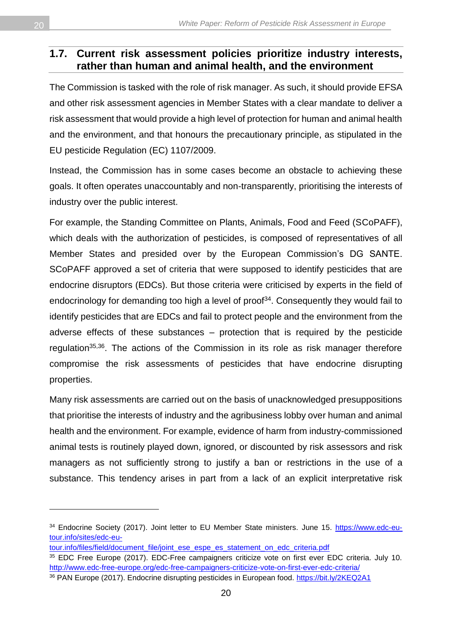#### <span id="page-19-0"></span>**1.7. Current risk assessment policies prioritize industry interests, rather than human and animal health, and the environment**

The Commission is tasked with the role of risk manager. As such, it should provide EFSA and other risk assessment agencies in Member States with a clear mandate to deliver a risk assessment that would provide a high level of protection for human and animal health and the environment, and that honours the precautionary principle, as stipulated in the EU pesticide Regulation (EC) 1107/2009.

Instead, the Commission has in some cases become an obstacle to achieving these goals. It often operates unaccountably and non-transparently, prioritising the interests of industry over the public interest.

For example, the Standing Committee on Plants, Animals, Food and Feed (SCoPAFF), which deals with the authorization of pesticides, is composed of representatives of all Member States and presided over by the European Commission's DG SANTE. SCoPAFF approved a set of criteria that were supposed to identify pesticides that are endocrine disruptors (EDCs). But those criteria were criticised by experts in the field of endocrinology for demanding too high a level of proof<sup>34</sup>. Consequently they would fail to identify pesticides that are EDCs and fail to protect people and the environment from the adverse effects of these substances – protection that is required by the pesticide regulation<sup>35,36</sup>. The actions of the Commission in its role as risk manager therefore compromise the risk assessments of pesticides that have endocrine disrupting properties.

Many risk assessments are carried out on the basis of unacknowledged presuppositions that prioritise the interests of industry and the agribusiness lobby over human and animal health and the environment. For example, evidence of harm from industry-commissioned animal tests is routinely played down, ignored, or discounted by risk assessors and risk managers as not sufficiently strong to justify a ban or restrictions in the use of a substance. This tendency arises in part from a lack of an explicit interpretative risk

<sup>34</sup> Endocrine Society (2017). Joint letter to EU Member State ministers. June 15. [https://www.edc-eu](https://www.edc-eu-tour.info/sites/edc-eu-tour.info/files/field/document_file/joint_ese_espe_es_statement_on_edc_criteria.pdf)[tour.info/sites/edc-eu-](https://www.edc-eu-tour.info/sites/edc-eu-tour.info/files/field/document_file/joint_ese_espe_es_statement_on_edc_criteria.pdf)

[tour.info/files/field/document\\_file/joint\\_ese\\_espe\\_es\\_statement\\_on\\_edc\\_criteria.pdf](https://www.edc-eu-tour.info/sites/edc-eu-tour.info/files/field/document_file/joint_ese_espe_es_statement_on_edc_criteria.pdf)

<sup>35</sup> EDC Free Europe (2017). EDC-Free campaigners criticize vote on first ever EDC criteria. July 10. <http://www.edc-free-europe.org/edc-free-campaigners-criticize-vote-on-first-ever-edc-criteria/>

<sup>36</sup> PAN Europe (2017). Endocrine disrupting pesticides in European food.<https://bit.ly/2KEQ2A1>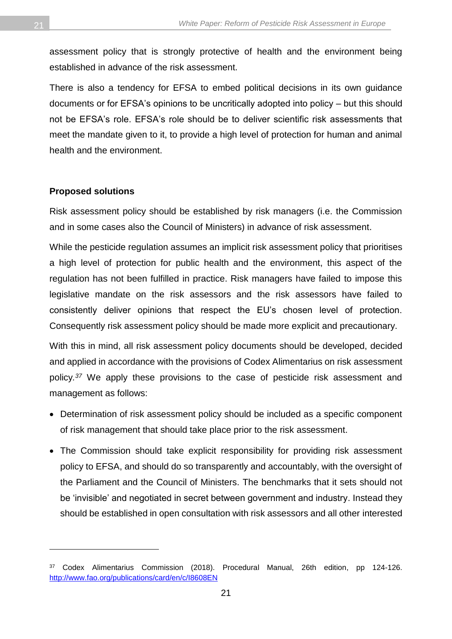assessment policy that is strongly protective of health and the environment being established in advance of the risk assessment.

There is also a tendency for EFSA to embed political decisions in its own guidance documents or for EFSA's opinions to be uncritically adopted into policy – but this should not be EFSA's role. EFSA's role should be to deliver scientific risk assessments that meet the mandate given to it, to provide a high level of protection for human and animal health and the environment.

#### **Proposed solutions**

l

Risk assessment policy should be established by risk managers (i.e. the Commission and in some cases also the Council of Ministers) in advance of risk assessment.

While the pesticide regulation assumes an implicit risk assessment policy that prioritises a high level of protection for public health and the environment, this aspect of the regulation has not been fulfilled in practice. Risk managers have failed to impose this legislative mandate on the risk assessors and the risk assessors have failed to consistently deliver opinions that respect the EU's chosen level of protection. Consequently risk assessment policy should be made more explicit and precautionary.

With this in mind, all risk assessment policy documents should be developed, decided and applied in accordance with the provisions of Codex Alimentarius on risk assessment policy*. <sup>37</sup>* We apply these provisions to the case of pesticide risk assessment and management as follows:

- Determination of risk assessment policy should be included as a specific component of risk management that should take place prior to the risk assessment.
- The Commission should take explicit responsibility for providing risk assessment policy to EFSA, and should do so transparently and accountably, with the oversight of the Parliament and the Council of Ministers. The benchmarks that it sets should not be 'invisible' and negotiated in secret between government and industry. Instead they should be established in open consultation with risk assessors and all other interested

<sup>37</sup> Codex Alimentarius Commission (2018). Procedural Manual, 26th edition, pp 124-126. <http://www.fao.org/publications/card/en/c/I8608EN>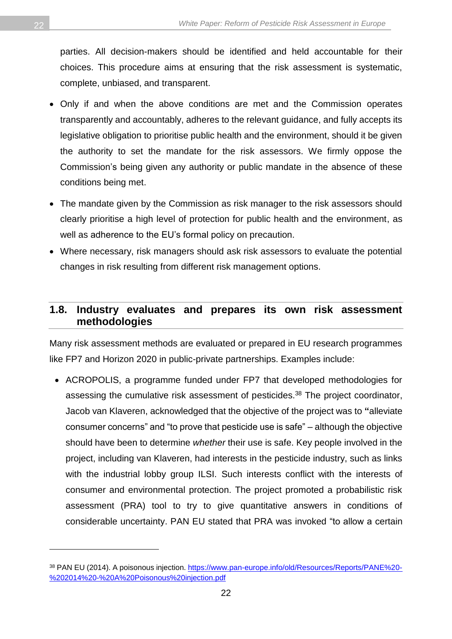parties. All decision-makers should be identified and held accountable for their choices. This procedure aims at ensuring that the risk assessment is systematic, complete, unbiased, and transparent.

- Only if and when the above conditions are met and the Commission operates transparently and accountably, adheres to the relevant guidance, and fully accepts its legislative obligation to prioritise public health and the environment, should it be given the authority to set the mandate for the risk assessors. We firmly oppose the Commission's being given any authority or public mandate in the absence of these conditions being met.
- The mandate given by the Commission as risk manager to the risk assessors should clearly prioritise a high level of protection for public health and the environment, as well as adherence to the EU's formal policy on precaution.
- Where necessary, risk managers should ask risk assessors to evaluate the potential changes in risk resulting from different risk management options.

#### <span id="page-21-0"></span>**1.8. Industry evaluates and prepares its own risk assessment methodologies**

Many risk assessment methods are evaluated or prepared in EU research programmes like FP7 and Horizon 2020 in public-private partnerships. Examples include:

• ACROPOLIS, a programme funded under FP7 that developed methodologies for assessing the cumulative risk assessment of pesticides.<sup>38</sup> The project coordinator, Jacob van Klaveren, acknowledged that the objective of the project was to **"**alleviate consumer concerns" and "to prove that pesticide use is safe" – although the objective should have been to determine *whether* their use is safe. Key people involved in the project, including van Klaveren, had interests in the pesticide industry, such as links with the industrial lobby group ILSI. Such interests conflict with the interests of consumer and environmental protection. The project promoted a probabilistic risk assessment (PRA) tool to try to give quantitative answers in conditions of considerable uncertainty. PAN EU stated that PRA was invoked "to allow a certain

<sup>38</sup> PAN EU (2014). A poisonous injection. [https://www.pan-europe.info/old/Resources/Reports/PANE%20-](https://www.pan-europe.info/old/Resources/Reports/PANE%20-%202014%20-%20A%20Poisonous%20injection.pdf) [%202014%20-%20A%20Poisonous%20injection.pdf](https://www.pan-europe.info/old/Resources/Reports/PANE%20-%202014%20-%20A%20Poisonous%20injection.pdf)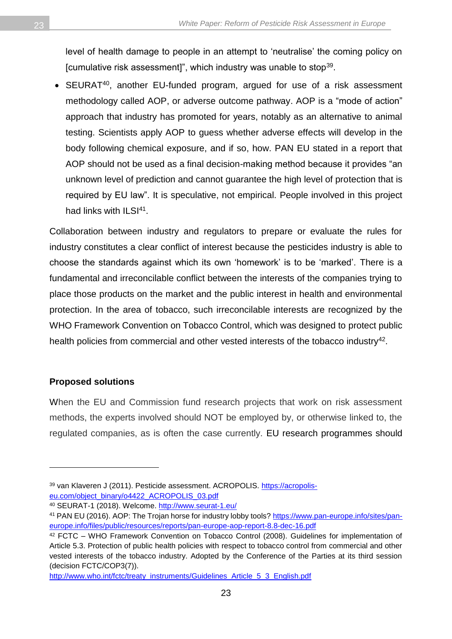level of health damage to people in an attempt to 'neutralise' the coming policy on [cumulative risk assessment]", which industry was unable to stop<sup>39</sup>.

• SEURAT<sup>40</sup>, another EU-funded program, argued for use of a risk assessment methodology called AOP, or adverse outcome pathway. AOP is a "mode of action" approach that industry has promoted for years, notably as an alternative to animal testing. Scientists apply AOP to guess whether adverse effects will develop in the body following chemical exposure, and if so, how. PAN EU stated in a report that AOP should not be used as a final decision-making method because it provides "an unknown level of prediction and cannot guarantee the high level of protection that is required by EU law". It is speculative, not empirical. People involved in this project had links with ILSI<sup>41</sup>.

Collaboration between industry and regulators to prepare or evaluate the rules for industry constitutes a clear conflict of interest because the pesticides industry is able to choose the standards against which its own 'homework' is to be 'marked'. There is a fundamental and irreconcilable conflict between the interests of the companies trying to place those products on the market and the public interest in health and environmental protection. In the area of tobacco, such irreconcilable interests are recognized by the WHO Framework Convention on Tobacco Control, which was designed to protect public health policies from commercial and other vested interests of the tobacco industry<sup>42</sup>.

#### **Proposed solutions**

 $\overline{a}$ 

When the EU and Commission fund research projects that work on risk assessment methods, the experts involved should NOT be employed by, or otherwise linked to, the regulated companies, as is often the case currently. EU research programmes should

<sup>39</sup> van Klaveren J (2011). Pesticide assessment. ACROPOLIS. [https://acropolis](https://acropolis-eu.com/object_binary/o4422_ACROPOLIS_03.pdf)[eu.com/object\\_binary/o4422\\_ACROPOLIS\\_03.pdf](https://acropolis-eu.com/object_binary/o4422_ACROPOLIS_03.pdf)

<sup>40</sup> SEURAT-1 (2018). Welcome.<http://www.seurat-1.eu/>

<sup>41</sup> PAN EU (2016). AOP: The Trojan horse for industry lobby tools? [https://www.pan-europe.info/sites/pan](https://www.pan-europe.info/sites/pan-europe.info/files/public/resources/reports/pan-europe-aop-report-8.8-dec-16.pdf)[europe.info/files/public/resources/reports/pan-europe-aop-report-8.8-dec-16.pdf](https://www.pan-europe.info/sites/pan-europe.info/files/public/resources/reports/pan-europe-aop-report-8.8-dec-16.pdf)

<sup>42</sup> FCTC – WHO Framework Convention on Tobacco Control (2008). Guidelines for implementation of Article 5.3. Protection of public health policies with respect to tobacco control from commercial and other vested interests of the tobacco industry. Adopted by the Conference of the Parties at its third session (decision FCTC/COP3(7)).

[http://www.who.int/fctc/treaty\\_instruments/Guidelines\\_Article\\_5\\_3\\_English.pdf](http://www.who.int/fctc/treaty_instruments/Guidelines_Article_5_3_English.pdf)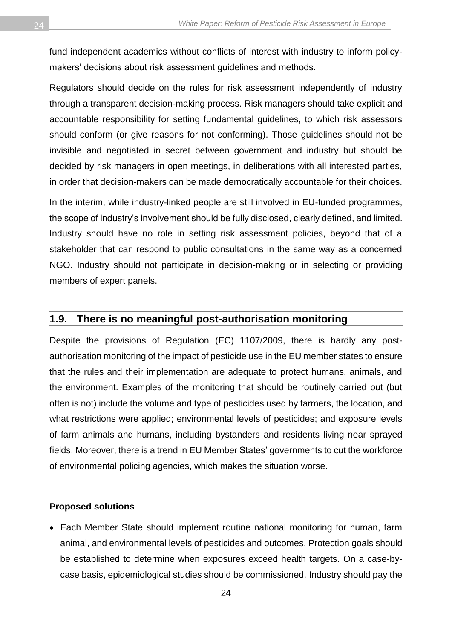fund independent academics without conflicts of interest with industry to inform policymakers' decisions about risk assessment guidelines and methods.

Regulators should decide on the rules for risk assessment independently of industry through a transparent decision-making process. Risk managers should take explicit and accountable responsibility for setting fundamental guidelines, to which risk assessors should conform (or give reasons for not conforming). Those guidelines should not be invisible and negotiated in secret between government and industry but should be decided by risk managers in open meetings, in deliberations with all interested parties, in order that decision-makers can be made democratically accountable for their choices.

In the interim, while industry-linked people are still involved in EU-funded programmes, the scope of industry's involvement should be fully disclosed, clearly defined, and limited. Industry should have no role in setting risk assessment policies, beyond that of a stakeholder that can respond to public consultations in the same way as a concerned NGO. Industry should not participate in decision-making or in selecting or providing members of expert panels.

#### <span id="page-23-0"></span>**1.9. There is no meaningful post-authorisation monitoring**

Despite the provisions of Regulation (EC) 1107/2009, there is hardly any postauthorisation monitoring of the impact of pesticide use in the EU member states to ensure that the rules and their implementation are adequate to protect humans, animals, and the environment. Examples of the monitoring that should be routinely carried out (but often is not) include the volume and type of pesticides used by farmers, the location, and what restrictions were applied; environmental levels of pesticides; and exposure levels of farm animals and humans, including bystanders and residents living near sprayed fields. Moreover, there is a trend in EU Member States' governments to cut the workforce of environmental policing agencies, which makes the situation worse.

#### **Proposed solutions**

• Each Member State should implement routine national monitoring for human, farm animal, and environmental levels of pesticides and outcomes. Protection goals should be established to determine when exposures exceed health targets. On a case-bycase basis, epidemiological studies should be commissioned. Industry should pay the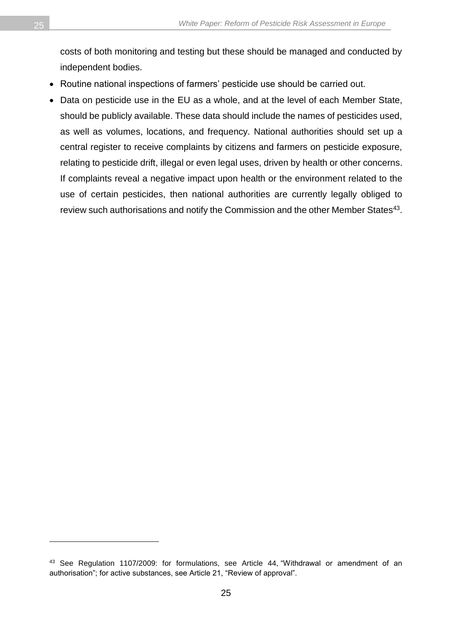costs of both monitoring and testing but these should be managed and conducted by independent bodies.

- Routine national inspections of farmers' pesticide use should be carried out.
- Data on pesticide use in the EU as a whole, and at the level of each Member State, should be publicly available. These data should include the names of pesticides used, as well as volumes, locations, and frequency. National authorities should set up a central register to receive complaints by citizens and farmers on pesticide exposure, relating to pesticide drift, illegal or even legal uses, driven by health or other concerns. If complaints reveal a negative impact upon health or the environment related to the use of certain pesticides, then national authorities are currently legally obliged to review such authorisations and notify the Commission and the other Member States $^{43}$ .

<sup>43</sup> See Regulation 1107/2009: for formulations, see Article 44, "Withdrawal or amendment of an authorisation"; for active substances, see Article 21, "Review of approval".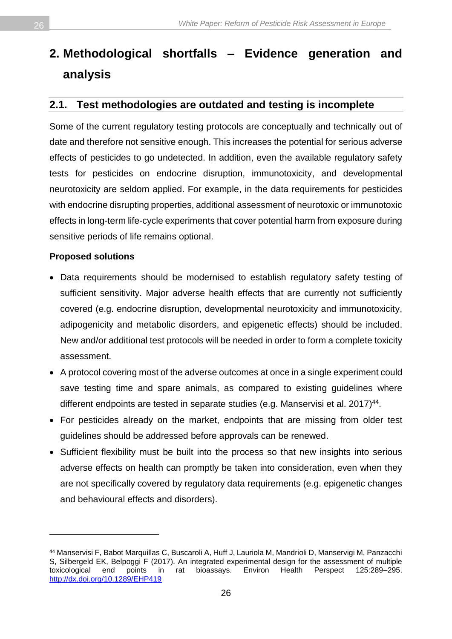## <span id="page-25-0"></span>**2. Methodological shortfalls – Evidence generation and analysis**

#### <span id="page-25-1"></span>**2.1. Test methodologies are outdated and testing is incomplete**

Some of the current regulatory testing protocols are conceptually and technically out of date and therefore not sensitive enough. This increases the potential for serious adverse effects of pesticides to go undetected. In addition, even the available regulatory safety tests for pesticides on endocrine disruption, immunotoxicity, and developmental neurotoxicity are seldom applied. For example, in the data requirements for pesticides with endocrine disrupting properties, additional assessment of neurotoxic or immunotoxic effects in long-term life-cycle experiments that cover potential harm from exposure during sensitive periods of life remains optional.

#### **Proposed solutions**

- Data requirements should be modernised to establish regulatory safety testing of sufficient sensitivity. Major adverse health effects that are currently not sufficiently covered (e.g. endocrine disruption, developmental neurotoxicity and immunotoxicity, adipogenicity and metabolic disorders, and epigenetic effects) should be included. New and/or additional test protocols will be needed in order to form a complete toxicity assessment.
- A protocol covering most of the adverse outcomes at once in a single experiment could save testing time and spare animals, as compared to existing guidelines where different endpoints are tested in separate studies (e.g. Manservisi et al. 2017)<sup>44</sup>.
- For pesticides already on the market, endpoints that are missing from older test guidelines should be addressed before approvals can be renewed.
- Sufficient flexibility must be built into the process so that new insights into serious adverse effects on health can promptly be taken into consideration, even when they are not specifically covered by regulatory data requirements (e.g. epigenetic changes and behavioural effects and disorders).

<sup>44</sup> Manservisi F, Babot Marquillas C, Buscaroli A, Huff J, Lauriola M, Mandrioli D, Manservigi M, Panzacchi S, Silbergeld EK, Belpoggi F (2017). An integrated experimental design for the assessment of multiple toxicological end points in rat bioassays. Environ Health Perspect 125:289–295. <http://dx.doi.org/10.1289/EHP419>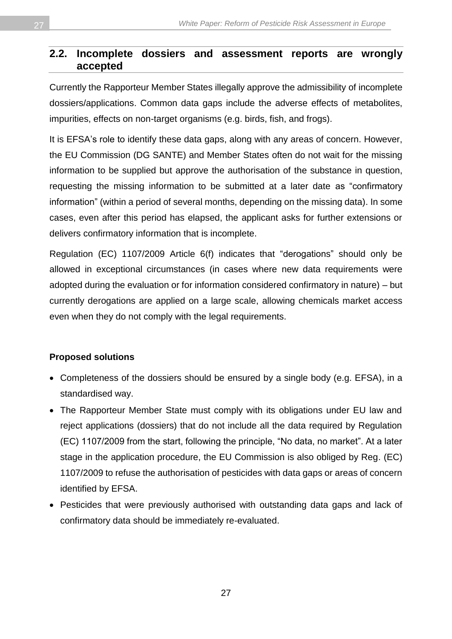#### <span id="page-26-0"></span>**2.2. Incomplete dossiers and assessment reports are wrongly accepted**

Currently the Rapporteur Member States illegally approve the admissibility of incomplete dossiers/applications. Common data gaps include the adverse effects of metabolites, impurities, effects on non-target organisms (e.g. birds, fish, and frogs).

It is EFSA's role to identify these data gaps, along with any areas of concern. However, the EU Commission (DG SANTE) and Member States often do not wait for the missing information to be supplied but approve the authorisation of the substance in question, requesting the missing information to be submitted at a later date as "confirmatory information" (within a period of several months, depending on the missing data). In some cases, even after this period has elapsed, the applicant asks for further extensions or delivers confirmatory information that is incomplete.

Regulation (EC) 1107/2009 Article 6(f) indicates that "derogations" should only be allowed in exceptional circumstances (in cases where new data requirements were adopted during the evaluation or for information considered confirmatory in nature) – but currently derogations are applied on a large scale, allowing chemicals market access even when they do not comply with the legal requirements.

#### **Proposed solutions**

- Completeness of the dossiers should be ensured by a single body (e.g. EFSA), in a standardised way.
- The Rapporteur Member State must comply with its obligations under EU law and reject applications (dossiers) that do not include all the data required by Regulation (EC) 1107/2009 from the start, following the principle, "No data, no market". At a later stage in the application procedure, the EU Commission is also obliged by Reg. (EC) 1107/2009 to refuse the authorisation of pesticides with data gaps or areas of concern identified by EFSA.
- Pesticides that were previously authorised with outstanding data gaps and lack of confirmatory data should be immediately re-evaluated.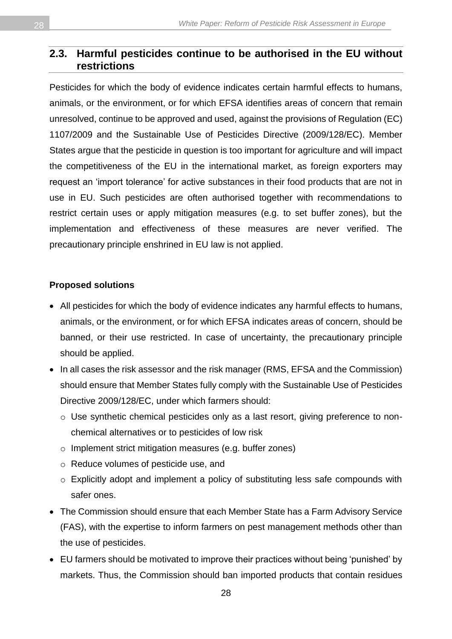#### <span id="page-27-0"></span>**2.3. Harmful pesticides continue to be authorised in the EU without restrictions**

Pesticides for which the body of evidence indicates certain harmful effects to humans, animals, or the environment, or for which EFSA identifies areas of concern that remain unresolved, continue to be approved and used, against the provisions of Regulation (EC) 1107/2009 and the Sustainable Use of Pesticides Directive (2009/128/EC). Member States argue that the pesticide in question is too important for agriculture and will impact the competitiveness of the EU in the international market, as foreign exporters may request an 'import tolerance' for active substances in their food products that are not in use in EU. Such pesticides are often authorised together with recommendations to restrict certain uses or apply mitigation measures (e.g. to set buffer zones), but the implementation and effectiveness of these measures are never verified. The precautionary principle enshrined in EU law is not applied.

#### **Proposed solutions**

- All pesticides for which the body of evidence indicates any harmful effects to humans, animals, or the environment, or for which EFSA indicates areas of concern, should be banned, or their use restricted. In case of uncertainty, the precautionary principle should be applied.
- In all cases the risk assessor and the risk manager (RMS, EFSA and the Commission) should ensure that Member States fully comply with the Sustainable Use of Pesticides Directive 2009/128/EC, under which farmers should:
	- o Use synthetic chemical pesticides only as a last resort, giving preference to nonchemical alternatives or to pesticides of low risk
	- o Implement strict mitigation measures (e.g. buffer zones)
	- o Reduce volumes of pesticide use, and
	- o Explicitly adopt and implement a policy of substituting less safe compounds with safer ones.
- The Commission should ensure that each Member State has a Farm Advisory Service (FAS), with the expertise to inform farmers on pest management methods other than the use of pesticides.
- EU farmers should be motivated to improve their practices without being 'punished' by markets. Thus, the Commission should ban imported products that contain residues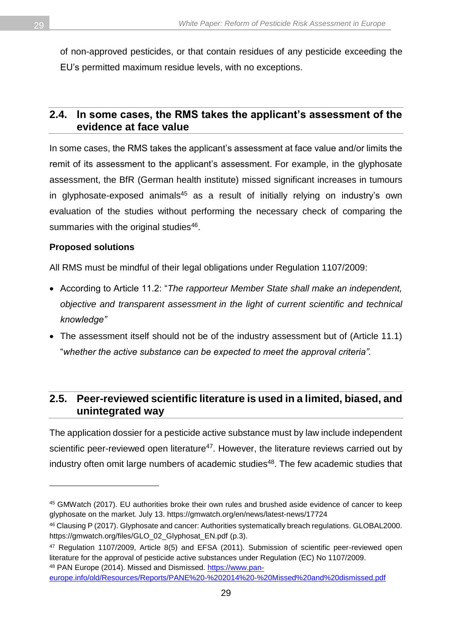of non-approved pesticides, or that contain residues of any pesticide exceeding the EU's permitted maximum residue levels, with no exceptions.

#### <span id="page-28-0"></span>**2.4. In some cases, the RMS takes the applicant's assessment of the evidence at face value**

In some cases, the RMS takes the applicant's assessment at face value and/or limits the remit of its assessment to the applicant's assessment. For example, in the glyphosate assessment, the BfR (German health institute) missed significant increases in tumours in glyphosate-exposed animals<sup>45</sup> as a result of initially relying on industry's own evaluation of the studies without performing the necessary check of comparing the summaries with the original studies<sup>46</sup>.

#### **Proposed solutions**

 $\overline{a}$ 

All RMS must be mindful of their legal obligations under Regulation 1107/2009:

- According to Article 11.2: "*The rapporteur Member State shall make an independent, objective and transparent assessment in the light of current scientific and technical knowledge"*
- The assessment itself should not be of the industry assessment but of (Article 11.1) "*whether the active substance can be expected to meet the approval criteria".*

#### <span id="page-28-1"></span>**2.5. Peer-reviewed scientific literature is used in a limited, biased, and unintegrated way**

The application dossier for a pesticide active substance must by law include independent scientific peer-reviewed open literature<sup>47</sup>. However, the literature reviews carried out by industry often omit large numbers of academic studies<sup>48</sup>. The few academic studies that

<sup>45</sup> GMWatch (2017). EU authorities broke their own rules and brushed aside evidence of cancer to keep glyphosate on the market. July 13.<https://gmwatch.org/en/news/latest-news/17724>

<sup>46</sup> Clausing P (2017). Glyphosate and cancer: Authorities systematically breach regulations. GLOBAL2000. [https://gmwatch.org/files/GLO\\_02\\_Glyphosat\\_EN.pdf](https://gmwatch.org/files/GLO_02_Glyphosat_EN.pdf) (p.3).

<sup>47</sup> Regulation 1107/2009, Article 8(5) and EFSA (2011). Submission of scientific peer-reviewed open literature for the approval of pesticide active substances under Regulation (EC) No 1107/2009. <sup>48</sup> PAN Europe (2014). Missed and Dismissed. [https://www.pan-](https://www.pan-europe.info/old/Resources/Reports/PANE%20-%202014%20-%20Missed%20and%20dismissed.pdf)

[europe.info/old/Resources/Reports/PANE%20-%202014%20-%20Missed%20and%20dismissed.pdf](https://www.pan-europe.info/old/Resources/Reports/PANE%20-%202014%20-%20Missed%20and%20dismissed.pdf)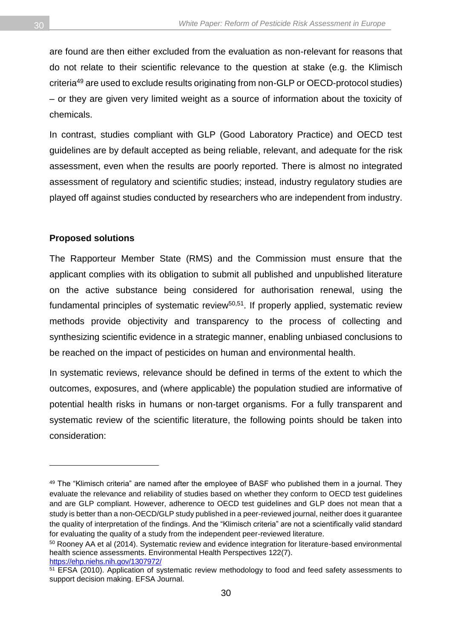are found are then either excluded from the evaluation as non-relevant for reasons that do not relate to their scientific relevance to the question at stake (e.g. the Klimisch criteria<sup>49</sup> are used to exclude results originating from non-GLP or OECD-protocol studies) – or they are given very limited weight as a source of information about the toxicity of chemicals.

In contrast, studies compliant with GLP (Good Laboratory Practice) and OECD test guidelines are by default accepted as being reliable, relevant, and adequate for the risk assessment, even when the results are poorly reported. There is almost no integrated assessment of regulatory and scientific studies; instead, industry regulatory studies are played off against studies conducted by researchers who are independent from industry.

#### **Proposed solutions**

 $\overline{a}$ 

The Rapporteur Member State (RMS) and the Commission must ensure that the applicant complies with its obligation to submit all published and unpublished literature on the active substance being considered for authorisation renewal, using the fundamental principles of systematic review<sup>50,51</sup>. If properly applied, systematic review methods provide objectivity and transparency to the process of collecting and synthesizing scientific evidence in a strategic manner, enabling unbiased conclusions to be reached on the impact of pesticides on human and environmental health.

In systematic reviews, relevance should be defined in terms of the extent to which the outcomes, exposures, and (where applicable) the population studied are informative of potential health risks in humans or non-target organisms. For a fully transparent and systematic review of the scientific literature, the following points should be taken into consideration:

<sup>49</sup> The "Klimisch criteria" are named after the employee of BASF who published them in a journal. They evaluate the relevance and reliability of studies based on whether they conform to OECD test guidelines and are GLP compliant. However, adherence to OECD test guidelines and GLP does not mean that a study is better than a non-OECD/GLP study published in a peer-reviewed journal, neither does it guarantee the quality of interpretation of the findings. And the "Klimisch criteria" are not a scientifically valid standard for evaluating the quality of a study from the independent peer-reviewed literature.

<sup>&</sup>lt;sup>50</sup> Rooney AA et al (2014). Systematic review and evidence integration for literature-based environmental health science assessments. Environmental Health Perspectives 122(7). <https://ehp.niehs.nih.gov/1307972/>

<sup>&</sup>lt;sup>51</sup> EFSA (2010). Application of systematic review methodology to food and feed safety assessments to support decision making. EFSA Journal.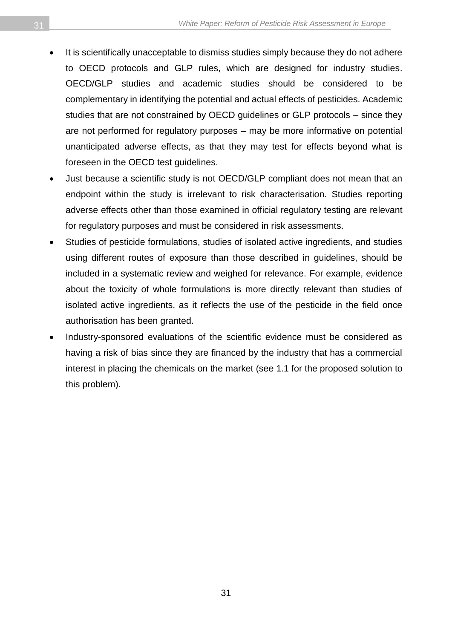- It is scientifically unacceptable to dismiss studies simply because they do not adhere to OECD protocols and GLP rules, which are designed for industry studies. OECD/GLP studies and academic studies should be considered to be complementary in identifying the potential and actual effects of pesticides. Academic studies that are not constrained by OECD guidelines or GLP protocols – since they are not performed for regulatory purposes – may be more informative on potential unanticipated adverse effects, as that they may test for effects beyond what is foreseen in the OECD test guidelines.
- Just because a scientific study is not OECD/GLP compliant does not mean that an endpoint within the study is irrelevant to risk characterisation. Studies reporting adverse effects other than those examined in official regulatory testing are relevant for regulatory purposes and must be considered in risk assessments.
- Studies of pesticide formulations, studies of isolated active ingredients, and studies using different routes of exposure than those described in guidelines, should be included in a systematic review and weighed for relevance. For example, evidence about the toxicity of whole formulations is more directly relevant than studies of isolated active ingredients, as it reflects the use of the pesticide in the field once authorisation has been granted.
- Industry-sponsored evaluations of the scientific evidence must be considered as having a risk of bias since they are financed by the industry that has a commercial interest in placing the chemicals on the market (see 1.1 for the proposed solution to this problem).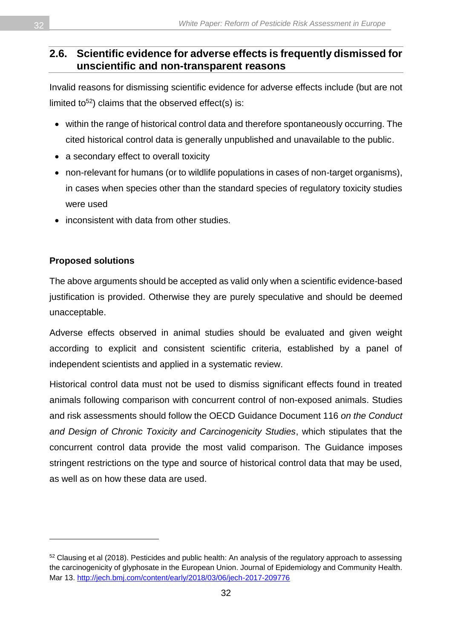#### <span id="page-31-0"></span>**2.6. Scientific evidence for adverse effects is frequently dismissed for unscientific and non-transparent reasons**

Invalid reasons for dismissing scientific evidence for adverse effects include (but are not limited to<sup>52</sup>) claims that the observed effect(s) is:

- within the range of historical control data and therefore spontaneously occurring. The cited historical control data is generally unpublished and unavailable to the public.
- a secondary effect to overall toxicity
- non-relevant for humans (or to wildlife populations in cases of non-target organisms), in cases when species other than the standard species of regulatory toxicity studies were used
- inconsistent with data from other studies.

#### **Proposed solutions**

 $\overline{a}$ 

The above arguments should be accepted as valid only when a scientific evidence-based justification is provided. Otherwise they are purely speculative and should be deemed unacceptable.

Adverse effects observed in animal studies should be evaluated and given weight according to explicit and consistent scientific criteria, established by a panel of independent scientists and applied in a systematic review.

Historical control data must not be used to dismiss significant effects found in treated animals following comparison with concurrent control of non-exposed animals. Studies and risk assessments should follow the OECD Guidance Document 116 *on the Conduct and Design of Chronic Toxicity and Carcinogenicity Studies*, which stipulates that the concurrent control data provide the most valid comparison. The Guidance imposes stringent restrictions on the type and source of historical control data that may be used, as well as on how these data are used.

<sup>52</sup> Clausing et al (2018). Pesticides and public health: An analysis of the regulatory approach to assessing the carcinogenicity of glyphosate in the European Union. Journal of Epidemiology and Community Health. Mar 13.<http://jech.bmj.com/content/early/2018/03/06/jech-2017-209776>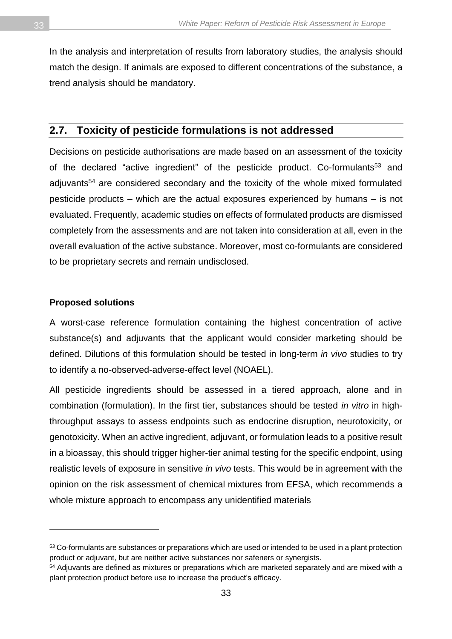In the analysis and interpretation of results from laboratory studies, the analysis should match the design. If animals are exposed to different concentrations of the substance, a trend analysis should be mandatory.

#### <span id="page-32-0"></span>**2.7. Toxicity of pesticide formulations is not addressed**

Decisions on pesticide authorisations are made based on an assessment of the toxicity of the declared "active ingredient" of the pesticide product. Co-formulants<sup>53</sup> and adjuvants<sup>54</sup> are considered secondary and the toxicity of the whole mixed formulated pesticide products – which are the actual exposures experienced by humans – is not evaluated. Frequently, academic studies on effects of formulated products are dismissed completely from the assessments and are not taken into consideration at all, even in the overall evaluation of the active substance. Moreover, most co-formulants are considered to be proprietary secrets and remain undisclosed.

#### **Proposed solutions**

 $\overline{a}$ 

A worst-case reference formulation containing the highest concentration of active substance(s) and adjuvants that the applicant would consider marketing should be defined. Dilutions of this formulation should be tested in long-term *in vivo* studies to try to identify a no-observed-adverse-effect level (NOAEL).

All pesticide ingredients should be assessed in a tiered approach, alone and in combination (formulation). In the first tier, substances should be tested *in vitro* in highthroughput assays to assess endpoints such as endocrine disruption, neurotoxicity, or genotoxicity. When an active ingredient, adjuvant, or formulation leads to a positive result in a bioassay, this should trigger higher-tier animal testing for the specific endpoint, using realistic levels of exposure in sensitive *in vivo* tests. This would be in agreement with the opinion on the risk assessment of chemical mixtures from EFSA, which recommends a whole mixture approach to encompass any unidentified materials

<sup>53</sup> Co-formulants are substances or preparations which are used or intended to be used in a plant protection product or adjuvant, but are neither active substances nor safeners or synergists.

<sup>&</sup>lt;sup>54</sup> Adjuvants are defined as mixtures or preparations which are marketed separately and are mixed with a plant protection product before use to increase the product's efficacy.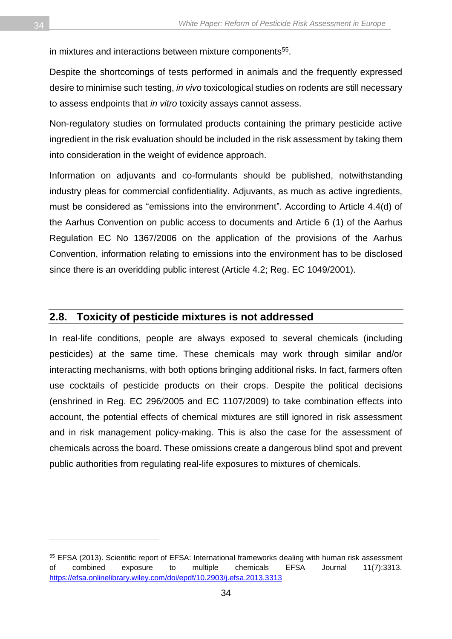in mixtures and interactions between mixture components<sup>55</sup>.

Despite the shortcomings of tests performed in animals and the frequently expressed desire to minimise such testing, *in vivo* toxicological studies on rodents are still necessary to assess endpoints that *in vitro* toxicity assays cannot assess.

Non-regulatory studies on formulated products containing the primary pesticide active ingredient in the risk evaluation should be included in the risk assessment by taking them into consideration in the weight of evidence approach.

Information on adjuvants and co-formulants should be published, notwithstanding industry pleas for commercial confidentiality. Adjuvants, as much as active ingredients, must be considered as "emissions into the environment". According to Article 4.4(d) of the Aarhus Convention on public access to documents and Article 6 (1) of the Aarhus Regulation EC No 1367/2006 on the application of the provisions of the Aarhus Convention, information relating to emissions into the environment has to be disclosed since there is an overidding public interest (Article 4.2; Reg. EC 1049/2001).

#### <span id="page-33-0"></span>**2.8. Toxicity of pesticide mixtures is not addressed**

In real-life conditions, people are always exposed to several chemicals (including pesticides) at the same time. These chemicals may work through similar and/or interacting mechanisms, with both options bringing additional risks. In fact, farmers often use cocktails of pesticide products on their crops. Despite the political decisions (enshrined in Reg. EC 296/2005 and EC 1107/2009) to take combination effects into account, the potential effects of chemical mixtures are still ignored in risk assessment and in risk management policy-making. This is also the case for the assessment of chemicals across the board. These omissions create a dangerous blind spot and prevent public authorities from regulating real-life exposures to mixtures of chemicals.

 $\overline{a}$ 

<sup>55</sup> EFSA (2013). Scientific report of EFSA: International frameworks dealing with human risk assessment of combined exposure to multiple chemicals EFSA Journal 11(7):3313. <https://efsa.onlinelibrary.wiley.com/doi/epdf/10.2903/j.efsa.2013.3313>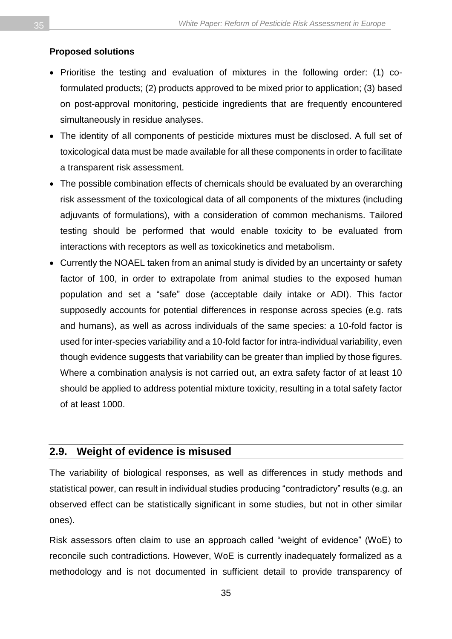#### **Proposed solutions**

- Prioritise the testing and evaluation of mixtures in the following order: (1) coformulated products; (2) products approved to be mixed prior to application; (3) based on post-approval monitoring, pesticide ingredients that are frequently encountered simultaneously in residue analyses.
- The identity of all components of pesticide mixtures must be disclosed. A full set of toxicological data must be made available for all these components in order to facilitate a transparent risk assessment.
- The possible combination effects of chemicals should be evaluated by an overarching risk assessment of the toxicological data of all components of the mixtures (including adjuvants of formulations), with a consideration of common mechanisms. Tailored testing should be performed that would enable toxicity to be evaluated from interactions with receptors as well as toxicokinetics and metabolism.
- Currently the NOAEL taken from an animal study is divided by an uncertainty or safety factor of 100, in order to extrapolate from animal studies to the exposed human population and set a "safe" dose (acceptable daily intake or ADI). This factor supposedly accounts for potential differences in response across species (e.g. rats and humans), as well as across individuals of the same species: a 10-fold factor is used for inter-species variability and a 10-fold factor for intra-individual variability, even though evidence suggests that variability can be greater than implied by those figures. Where a combination analysis is not carried out, an extra safety factor of at least 10 should be applied to address potential mixture toxicity, resulting in a total safety factor of at least 1000.

#### <span id="page-34-0"></span>**2.9. Weight of evidence is misused**

The variability of biological responses, as well as differences in study methods and statistical power, can result in individual studies producing "contradictory" results (e.g. an observed effect can be statistically significant in some studies, but not in other similar ones).

Risk assessors often claim to use an approach called "weight of evidence" (WoE) to reconcile such contradictions. However, WoE is currently inadequately formalized as a methodology and is not documented in sufficient detail to provide transparency of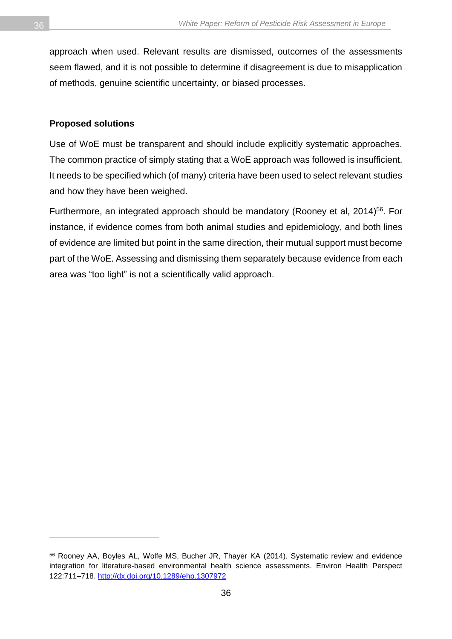approach when used. Relevant results are dismissed, outcomes of the assessments seem flawed, and it is not possible to determine if disagreement is due to misapplication of methods, genuine scientific uncertainty, or biased processes.

#### **Proposed solutions**

Use of WoE must be transparent and should include explicitly systematic approaches. The common practice of simply stating that a WoE approach was followed is insufficient. It needs to be specified which (of many) criteria have been used to select relevant studies and how they have been weighed.

Furthermore, an integrated approach should be mandatory (Rooney et al, 2014)<sup>56</sup>. For instance, if evidence comes from both animal studies and epidemiology, and both lines of evidence are limited but point in the same direction, their mutual support must become part of the WoE. Assessing and dismissing them separately because evidence from each area was "too light" is not a scientifically valid approach.

 $\overline{a}$ 

<sup>56</sup> Rooney AA, Boyles AL, Wolfe MS, Bucher JR, Thayer KA (2014). Systematic review and evidence integration for literature-based environmental health science assessments. Environ Health Perspect 122:711–718.<http://dx.doi.org/10.1289/ehp.1307972>